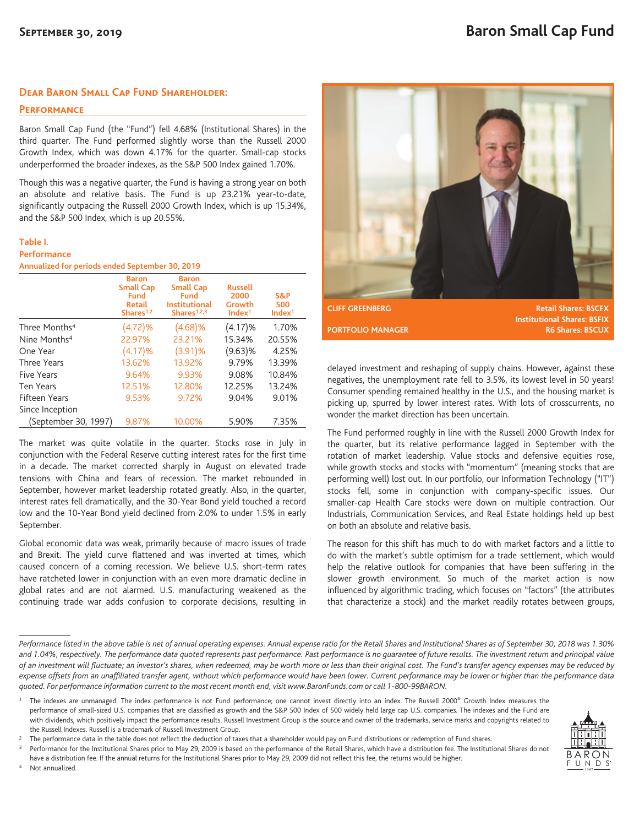## **Dear Baron Small Cap Fund Shareholder:**

**Performance**

Baron Small Cap Fund (the "Fund") fell 4.68% (Institutional Shares) in the third quarter. The Fund performed slightly worse than the Russell 2000 Growth Index, which was down 4.17% for the quarter. Small-cap stocks underperformed the broader indexes, as the S&P 500 Index gained 1.70%.

Though this was a negative quarter, the Fund is having a strong year on both an absolute and relative basis. The Fund is up 23.21% year-to-date, significantly outpacing the Russell 2000 Growth Index, which is up 15.34%, and the S&P 500 Index, which is up 20.55%.

### **Table I. Performance**

**Annualized for periods ended September 30, 2019**

|                           | <b>Baron</b><br><b>Small Cap</b><br><b>Fund</b><br>Retail<br>Shares <sup>1,2</sup> | <b>Baron</b><br><b>Small Cap</b><br><b>Fund</b><br><b>Institutional</b><br>Shares $1,2,3$ | <b>Russell</b><br>2000<br>Growth<br>Index <sup>1</sup> | S&P<br>500<br>Index <sup>1</sup> |
|---------------------------|------------------------------------------------------------------------------------|-------------------------------------------------------------------------------------------|--------------------------------------------------------|----------------------------------|
| Three Months <sup>4</sup> | (4.72)%                                                                            | (4.68)%                                                                                   | (4.17)%                                                | 1.70%                            |
| Nine Months <sup>4</sup>  | 22.97%                                                                             | 23.21%                                                                                    | 15.34%                                                 | 20.55%                           |
| One Year                  | (4.17)%                                                                            | $(3.91)$ %                                                                                | $(9.63)$ %                                             | 4.25%                            |
| Three Years               | 13.62%                                                                             | 13.92%                                                                                    | 9.79%                                                  | 13.39%                           |
| Five Years                | 9.64%                                                                              | 9.93%                                                                                     | 9.08%                                                  | 10.84%                           |
| <b>Ten Years</b>          | 12.51%                                                                             | 12.80%                                                                                    | 12.25%                                                 | 13.24%                           |
| <b>Fifteen Years</b>      | 9.53%                                                                              | 9.72%                                                                                     | 9.04%                                                  | 9.01%                            |
| Since Inception           |                                                                                    |                                                                                           |                                                        |                                  |
| (September 30, 1997)      | 9.87%                                                                              | 10.00%                                                                                    | 5.90%                                                  | 7.35%                            |

The market was quite volatile in the quarter. Stocks rose in July in conjunction with the Federal Reserve cutting interest rates for the first time in a decade. The market corrected sharply in August on elevated trade tensions with China and fears of recession. The market rebounded in September, however market leadership rotated greatly. Also, in the quarter, interest rates fell dramatically, and the 30-Year Bond yield touched a record low and the 10-Year Bond yield declined from 2.0% to under 1.5% in early September.

Global economic data was weak, primarily because of macro issues of trade and Brexit. The yield curve flattened and was inverted at times, which caused concern of a coming recession. We believe U.S. short-term rates have ratcheted lower in conjunction with an even more dramatic decline in global rates and are not alarmed. U.S. manufacturing weakened as the continuing trade war adds confusion to corporate decisions, resulting in



**CLIFF GREENBERG Retail Shares: BSCFX Institutional Shares: BSFIX PORTFOLIO MANAGER R6 Shares: BSCUX** 

delayed investment and reshaping of supply chains. However, against these negatives, the unemployment rate fell to 3.5%, its lowest level in 50 years! Consumer spending remained healthy in the U.S., and the housing market is picking up, spurred by lower interest rates. With lots of crosscurrents, no wonder the market direction has been uncertain.

The Fund performed roughly in line with the Russell 2000 Growth Index for the quarter, but its relative performance lagged in September with the rotation of market leadership. Value stocks and defensive equities rose, while growth stocks and stocks with "momentum" (meaning stocks that are performing well) lost out. In our portfolio, our Information Technology ("IT") stocks fell, some in conjunction with company-specific issues. Our smaller-cap Health Care stocks were down on multiple contraction. Our Industrials, Communication Services, and Real Estate holdings held up best on both an absolute and relative basis.

The reason for this shift has much to do with market factors and a little to do with the market's subtle optimism for a trade settlement, which would help the relative outlook for companies that have been suffering in the slower growth environment. So much of the market action is now influenced by algorithmic trading, which focuses on "factors" (the attributes that characterize a stock) and the market readily rotates between groups,

Performance for the Institutional Shares prior to May 29, 2009 is based on the performance of the Retail Shares, which have a distribution fee. The Institutional Shares do not

have a distribution fee. If the annual returns for the Institutional Shares prior to May 29, 2009 did not reflect this fee, the returns would be higher. Not annualized.



*Performance listed in the above table is net of annual operating expenses. Annual expense ratio for the Retail Shares and Institutional Shares as of September 30, 2018 was 1.30% and 1.04%, respectively. The performance data quoted represents past performance. Past performance is no guarantee of future results. The investment return and principal value of an investment will fluctuate; an investor's shares, when redeemed, may be worth more or less than their original cost. The Fund's transfer agency expenses may be reduced by expense offsets from an unaffiliated transfer agent, without which performance would have been lower. Current performance may be lower or higher than the performance data quoted. For performance information current to the most recent month end, visit www.BaronFunds.com or call 1-800-99BARON.*

The indexes are unmanaged. The index performance is not Fund performance; one cannot invest directly into an index. The Russell 2000® Growth Index measures the performance of small-sized U.S. companies that are classified as growth and the S&P 500 Index of 500 widely held large cap U.S. companies. The indexes and the Fund are with dividends, which positively impact the performance results. Russell Investment Group is the source and owner of the trademarks, service marks and copyrights related to the Russell Indexes. Russell is a trademark of Russell Investment Group.

<sup>&</sup>lt;sup>2</sup> The performance data in the table does not reflect the deduction of taxes that a shareholder would pay on Fund distributions or redemption of Fund shares.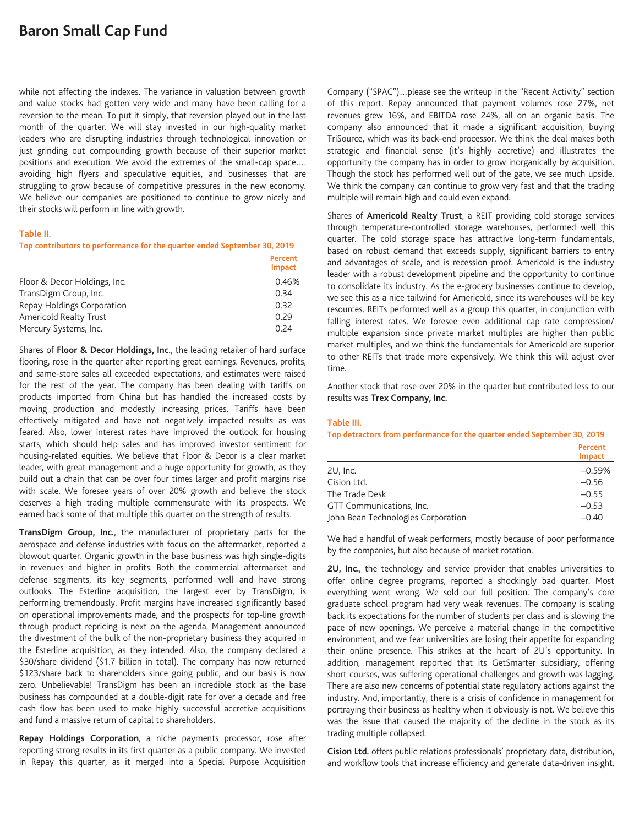# **Baron Small Cap Fund**

while not affecting the indexes. The variance in valuation between growth and value stocks had gotten very wide and many have been calling for a reversion to the mean. To put it simply, that reversion played out in the last month of the quarter. We will stay invested in our high-quality market leaders who are disrupting industries through technological innovation or just grinding out compounding growth because of their superior market positions and execution. We avoid the extremes of the small-cap space…. avoiding high flyers and speculative equities, and businesses that are struggling to grow because of competitive pressures in the new economy. We believe our companies are positioned to continue to grow nicely and their stocks will perform in line with growth.

### **Table II.**

**Top contributors to performance for the quarter ended September 30, 2019**

|                              | Percent<br><b>Impact</b> |
|------------------------------|--------------------------|
| Floor & Decor Holdings, Inc. | 0.46%                    |
| TransDigm Group, Inc.        | 0.34                     |
| Repay Holdings Corporation   | 0.32                     |
| Americold Realty Trust       | 0.29                     |
| Mercury Systems, Inc.        | O 24                     |

Shares of **Floor & Decor Holdings, Inc.**, the leading retailer of hard surface flooring, rose in the quarter after reporting great earnings. Revenues, profits, and same-store sales all exceeded expectations, and estimates were raised for the rest of the year. The company has been dealing with tariffs on products imported from China but has handled the increased costs by moving production and modestly increasing prices. Tariffs have been effectively mitigated and have not negatively impacted results as was feared. Also, lower interest rates have improved the outlook for housing starts, which should help sales and has improved investor sentiment for housing-related equities. We believe that Floor & Decor is a clear market leader, with great management and a huge opportunity for growth, as they build out a chain that can be over four times larger and profit margins rise with scale. We foresee years of over 20% growth and believe the stock deserves a high trading multiple commensurate with its prospects. We earned back some of that multiple this quarter on the strength of results.

**TransDigm Group, Inc.**, the manufacturer of proprietary parts for the aerospace and defense industries with focus on the aftermarket, reported a blowout quarter. Organic growth in the base business was high single-digits in revenues and higher in profits. Both the commercial aftermarket and defense segments, its key segments, performed well and have strong outlooks. The Esterline acquisition, the largest ever by TransDigm, is performing tremendously. Profit margins have increased significantly based on operational improvements made, and the prospects for top-line growth through product repricing is next on the agenda. Management announced the divestment of the bulk of the non-proprietary business they acquired in the Esterline acquisition, as they intended. Also, the company declared a \$30/share dividend (\$1.7 billion in total). The company has now returned \$123/share back to shareholders since going public, and our basis is now zero. Unbelievable! TransDigm has been an incredible stock as the base business has compounded at a double-digit rate for over a decade and free cash flow has been used to make highly successful accretive acquisitions and fund a massive return of capital to shareholders.

**Repay Holdings Corporation**, a niche payments processor, rose after reporting strong results in its first quarter as a public company. We invested in Repay this quarter, as it merged into a Special Purpose Acquisition Company ("SPAC")…please see the writeup in the "Recent Activity" section of this report. Repay announced that payment volumes rose 27%, net revenues grew 16%, and EBITDA rose 24%, all on an organic basis. The company also announced that it made a significant acquisition, buying TriSource, which was its back-end processor. We think the deal makes both strategic and financial sense (it's highly accretive) and illustrates the opportunity the company has in order to grow inorganically by acquisition. Though the stock has performed well out of the gate, we see much upside. We think the company can continue to grow very fast and that the trading multiple will remain high and could even expand.

Shares of **Americold Realty Trust**, a REIT providing cold storage services through temperature-controlled storage warehouses, performed well this quarter. The cold storage space has attractive long-term fundamentals, based on robust demand that exceeds supply, significant barriers to entry and advantages of scale, and is recession proof. Americold is the industry leader with a robust development pipeline and the opportunity to continue to consolidate its industry. As the e-grocery businesses continue to develop, we see this as a nice tailwind for Americold, since its warehouses will be key resources. REITs performed well as a group this quarter, in conjunction with falling interest rates. We foresee even additional cap rate compression/ multiple expansion since private market multiples are higher than public market multiples, and we think the fundamentals for Americold are superior to other REITs that trade more expensively. We think this will adjust over time.

Another stock that rose over 20% in the quarter but contributed less to our results was **Trex Company, Inc.**

### **Table III.**

**Top detractors from performance for the quarter ended September 30, 2019**

|                                    | Percent<br><b>Impact</b> |
|------------------------------------|--------------------------|
| $2U$ , Inc.                        | $-0.59%$                 |
| Cision Ltd.                        | $-0.56$                  |
| The Trade Desk                     | $-0.55$                  |
| GTT Communications, Inc.           | $-0.53$                  |
| John Bean Technologies Corporation | $-0.40$                  |

We had a handful of weak performers, mostly because of poor performance by the companies, but also because of market rotation.

**2U, Inc.**, the technology and service provider that enables universities to offer online degree programs, reported a shockingly bad quarter. Most everything went wrong. We sold our full position. The company's core graduate school program had very weak revenues. The company is scaling back its expectations for the number of students per class and is slowing the pace of new openings. We perceive a material change in the competitive environment, and we fear universities are losing their appetite for expanding their online presence. This strikes at the heart of 2U's opportunity. In addition, management reported that its GetSmarter subsidiary, offering short courses, was suffering operational challenges and growth was lagging. There are also new concerns of potential state regulatory actions against the industry. And, importantly, there is a crisis of confidence in management for portraying their business as healthy when it obviously is not. We believe this was the issue that caused the majority of the decline in the stock as its trading multiple collapsed.

**Cision Ltd.** offers public relations professionals' proprietary data, distribution, and workflow tools that increase efficiency and generate data-driven insight.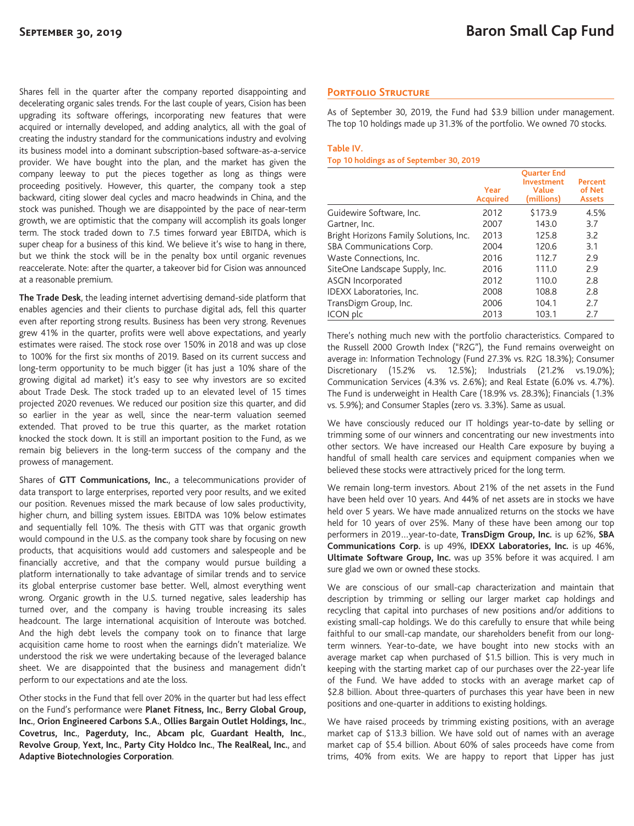Shares fell in the quarter after the company reported disappointing and decelerating organic sales trends. For the last couple of years, Cision has been upgrading its software offerings, incorporating new features that were acquired or internally developed, and adding analytics, all with the goal of creating the industry standard for the communications industry and evolving its business model into a dominant subscription-based software-as-a-service provider. We have bought into the plan, and the market has given the company leeway to put the pieces together as long as things were proceeding positively. However, this quarter, the company took a step backward, citing slower deal cycles and macro headwinds in China, and the stock was punished. Though we are disappointed by the pace of near-term growth, we are optimistic that the company will accomplish its goals longer term. The stock traded down to 7.5 times forward year EBITDA, which is super cheap for a business of this kind. We believe it's wise to hang in there, but we think the stock will be in the penalty box until organic revenues reaccelerate. Note: after the quarter, a takeover bid for Cision was announced at a reasonable premium.

**The Trade Desk**, the leading internet advertising demand-side platform that enables agencies and their clients to purchase digital ads, fell this quarter even after reporting strong results. Business has been very strong. Revenues grew 41% in the quarter, profits were well above expectations, and yearly estimates were raised. The stock rose over 150% in 2018 and was up close to 100% for the first six months of 2019. Based on its current success and long-term opportunity to be much bigger (it has just a 10% share of the growing digital ad market) it's easy to see why investors are so excited about Trade Desk. The stock traded up to an elevated level of 15 times projected 2020 revenues. We reduced our position size this quarter, and did so earlier in the year as well, since the near-term valuation seemed extended. That proved to be true this quarter, as the market rotation knocked the stock down. It is still an important position to the Fund, as we remain big believers in the long-term success of the company and the prowess of management.

Shares of **GTT Communications, Inc.**, a telecommunications provider of data transport to large enterprises, reported very poor results, and we exited our position. Revenues missed the mark because of low sales productivity, higher churn, and billing system issues. EBITDA was 10% below estimates and sequentially fell 10%. The thesis with GTT was that organic growth would compound in the U.S. as the company took share by focusing on new products, that acquisitions would add customers and salespeople and be financially accretive, and that the company would pursue building a platform internationally to take advantage of similar trends and to service its global enterprise customer base better. Well, almost everything went wrong. Organic growth in the U.S. turned negative, sales leadership has turned over, and the company is having trouble increasing its sales headcount. The large international acquisition of Interoute was botched. And the high debt levels the company took on to finance that large acquisition came home to roost when the earnings didn't materialize. We understood the risk we were undertaking because of the leveraged balance sheet. We are disappointed that the business and management didn't perform to our expectations and ate the loss.

Other stocks in the Fund that fell over 20% in the quarter but had less effect on the Fund's performance were **Planet Fitness, Inc.**, **Berry Global Group, Inc.**, **Orion Engineered Carbons S.A.**, **Ollies Bargain Outlet Holdings, Inc.**, **Covetrus, Inc.**, **Pagerduty, Inc.**, **Abcam plc**, **Guardant Health, Inc.**, **Revolve Group**, **Yext, Inc.**, **Party City Holdco Inc.**, **The RealReal, Inc.**, and **Adaptive Biotechnologies Corporation**.

## **Portfolio Structure**

As of September 30, 2019, the Fund had \$3.9 billion under management. The top 10 holdings made up 31.3% of the portfolio. We owned 70 stocks.

### **Table IV.**

### **Top 10 holdings as of September 30, 2019**

|                                        | Year<br><b>Acquired</b> | <b>Ouarter End</b><br><b>Investment</b><br>Value<br>(millions) | Percent<br>of Net<br><b>Assets</b> |
|----------------------------------------|-------------------------|----------------------------------------------------------------|------------------------------------|
| Guidewire Software, Inc.               | 2012                    | \$173.9                                                        | 4.5%                               |
| Gartner, Inc.                          | 2007                    | 143.0                                                          | 3.7                                |
| Bright Horizons Family Solutions, Inc. | 2013                    | 125.8                                                          | 3.2                                |
| SBA Communications Corp.               | 2004                    | 120.6                                                          | 3.1                                |
| Waste Connections, Inc.                | 2016                    | 112.7                                                          | 2.9                                |
| SiteOne Landscape Supply, Inc.         | 2016                    | 111.0                                                          | 2.9                                |
| <b>ASGN Incorporated</b>               | 2012                    | 110.0                                                          | 2.8                                |
| IDEXX Laboratories, Inc.               | 2008                    | 108.8                                                          | 2.8                                |
| TransDigm Group, Inc.                  | 2006                    | 104.1                                                          | 2.7                                |
| ICON plc                               | 2013                    | 103.1                                                          | 2.7                                |

There's nothing much new with the portfolio characteristics. Compared to the Russell 2000 Growth Index ("R2G"), the Fund remains overweight on average in: Information Technology (Fund 27.3% vs. R2G 18.3%); Consumer Discretionary (15.2% vs. 12.5%); Industrials (21.2% vs.19.0%); Communication Services (4.3% vs. 2.6%); and Real Estate (6.0% vs. 4.7%). The Fund is underweight in Health Care (18.9% vs. 28.3%); Financials (1.3% vs. 5.9%); and Consumer Staples (zero vs. 3.3%). Same as usual.

We have consciously reduced our IT holdings year-to-date by selling or trimming some of our winners and concentrating our new investments into other sectors. We have increased our Health Care exposure by buying a handful of small health care services and equipment companies when we believed these stocks were attractively priced for the long term.

We remain long-term investors. About 21% of the net assets in the Fund have been held over 10 years. And 44% of net assets are in stocks we have held over 5 years. We have made annualized returns on the stocks we have held for 10 years of over 25%. Many of these have been among our top performers in 2019…year-to-date, **TransDigm Group, Inc.** is up 62%, **SBA Communications Corp.** is up 49%, **IDEXX Laboratories, Inc.** is up 46%, **Ultimate Software Group, Inc.** was up 35% before it was acquired. I am sure glad we own or owned these stocks.

We are conscious of our small-cap characterization and maintain that description by trimming or selling our larger market cap holdings and recycling that capital into purchases of new positions and/or additions to existing small-cap holdings. We do this carefully to ensure that while being faithful to our small-cap mandate, our shareholders benefit from our longterm winners. Year-to-date, we have bought into new stocks with an average market cap when purchased of \$1.5 billion. This is very much in keeping with the starting market cap of our purchases over the 22-year life of the Fund. We have added to stocks with an average market cap of \$2.8 billion. About three-quarters of purchases this year have been in new positions and one-quarter in additions to existing holdings.

We have raised proceeds by trimming existing positions, with an average market cap of \$13.3 billion. We have sold out of names with an average market cap of \$5.4 billion. About 60% of sales proceeds have come from trims, 40% from exits. We are happy to report that Lipper has just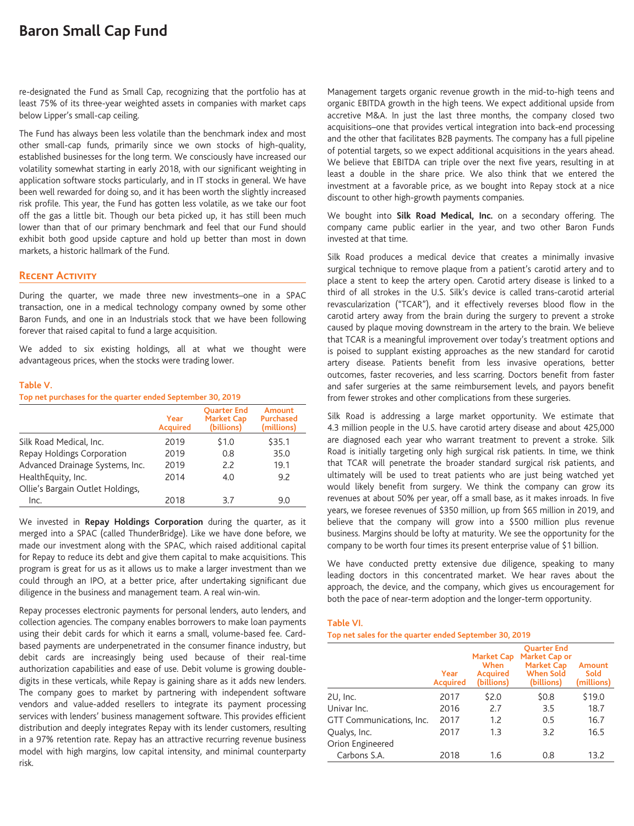# **Baron Small Cap Fund**

re-designated the Fund as Small Cap, recognizing that the portfolio has at least 75% of its three-year weighted assets in companies with market caps below Lipper's small-cap ceiling.

The Fund has always been less volatile than the benchmark index and most other small-cap funds, primarily since we own stocks of high-quality, established businesses for the long term. We consciously have increased our volatility somewhat starting in early 2018, with our significant weighting in application software stocks particularly, and in IT stocks in general. We have been well rewarded for doing so, and it has been worth the slightly increased risk profile. This year, the Fund has gotten less volatile, as we take our foot off the gas a little bit. Though our beta picked up, it has still been much lower than that of our primary benchmark and feel that our Fund should exhibit both good upside capture and hold up better than most in down markets, a historic hallmark of the Fund.

# **Recent Activity**

During the quarter, we made three new investments–one in a SPAC transaction, one in a medical technology company owned by some other Baron Funds, and one in an Industrials stock that we have been following forever that raised capital to fund a large acquisition.

We added to six existing holdings, all at what we thought were advantageous prices, when the stocks were trading lower.

### **Table V.**

### **Top net purchases for the quarter ended September 30, 2019**

|                                  | Year<br><b>Acquired</b> | <b>Ouarter End</b><br><b>Market Cap</b><br>(billions) | Amount<br><b>Purchased</b><br>(millions) |
|----------------------------------|-------------------------|-------------------------------------------------------|------------------------------------------|
| Silk Road Medical, Inc.          | 2019                    | \$1.0                                                 | \$35.1                                   |
| Repay Holdings Corporation       | 2019                    | 0.8                                                   | 35.0                                     |
| Advanced Drainage Systems, Inc.  | 2019                    | 2.2                                                   | 19.1                                     |
| HealthEquity, Inc.               | 2014                    | 4.0                                                   | 9.2                                      |
| Ollie's Bargain Outlet Holdings, |                         |                                                       |                                          |
| Inc.                             | 2018                    | 37                                                    | 9.0                                      |

We invested in **Repay Holdings Corporation** during the quarter, as it merged into a SPAC (called ThunderBridge). Like we have done before, we made our investment along with the SPAC, which raised additional capital for Repay to reduce its debt and give them capital to make acquisitions. This program is great for us as it allows us to make a larger investment than we could through an IPO, at a better price, after undertaking significant due diligence in the business and management team. A real win-win.

Repay processes electronic payments for personal lenders, auto lenders, and collection agencies. The company enables borrowers to make loan payments using their debit cards for which it earns a small, volume-based fee. Cardbased payments are underpenetrated in the consumer finance industry, but debit cards are increasingly being used because of their real-time authorization capabilities and ease of use. Debit volume is growing doubledigits in these verticals, while Repay is gaining share as it adds new lenders. The company goes to market by partnering with independent software vendors and value-added resellers to integrate its payment processing services with lenders' business management software. This provides efficient distribution and deeply integrates Repay with its lender customers, resulting in a 97% retention rate. Repay has an attractive recurring revenue business model with high margins, low capital intensity, and minimal counterparty risk.

Management targets organic revenue growth in the mid-to-high teens and organic EBITDA growth in the high teens. We expect additional upside from accretive M&A. In just the last three months, the company closed two acquisitions–one that provides vertical integration into back-end processing and the other that facilitates B2B payments. The company has a full pipeline of potential targets, so we expect additional acquisitions in the years ahead. We believe that EBITDA can triple over the next five years, resulting in at least a double in the share price. We also think that we entered the investment at a favorable price, as we bought into Repay stock at a nice discount to other high-growth payments companies.

We bought into **Silk Road Medical, Inc.** on a secondary offering. The company came public earlier in the year, and two other Baron Funds invested at that time.

Silk Road produces a medical device that creates a minimally invasive surgical technique to remove plaque from a patient's carotid artery and to place a stent to keep the artery open. Carotid artery disease is linked to a third of all strokes in the U.S. Silk's device is called trans-carotid arterial revascularization ("TCAR"), and it effectively reverses blood flow in the carotid artery away from the brain during the surgery to prevent a stroke caused by plaque moving downstream in the artery to the brain. We believe that TCAR is a meaningful improvement over today's treatment options and is poised to supplant existing approaches as the new standard for carotid artery disease. Patients benefit from less invasive operations, better outcomes, faster recoveries, and less scarring. Doctors benefit from faster and safer surgeries at the same reimbursement levels, and payors benefit from fewer strokes and other complications from these surgeries.

Silk Road is addressing a large market opportunity. We estimate that 4.3 million people in the U.S. have carotid artery disease and about 425,000 are diagnosed each year who warrant treatment to prevent a stroke. Silk Road is initially targeting only high surgical risk patients. In time, we think that TCAR will penetrate the broader standard surgical risk patients, and ultimately will be used to treat patients who are just being watched yet would likely benefit from surgery. We think the company can grow its revenues at about 50% per year, off a small base, as it makes inroads. In five years, we foresee revenues of \$350 million, up from \$65 million in 2019, and believe that the company will grow into a \$500 million plus revenue business. Margins should be lofty at maturity. We see the opportunity for the company to be worth four times its present enterprise value of \$1 billion.

We have conducted pretty extensive due diligence, speaking to many leading doctors in this concentrated market. We hear raves about the approach, the device, and the company, which gives us encouragement for both the pace of near-term adoption and the longer-term opportunity.

### **Table VI.**

### **Top net sales for the quarter ended September 30, 2019**

|                          | Year<br><b>Acquired</b> | <b>Market Cap</b><br>When<br><b>Acquired</b><br>(billions) | <b>Ouarter End</b><br>Market Cap or<br><b>Market Cap</b><br><b>When Sold</b><br>(billions) | Amount<br>Sold<br>(millions) |
|--------------------------|-------------------------|------------------------------------------------------------|--------------------------------------------------------------------------------------------|------------------------------|
| 2U, Inc.                 | 2017                    | \$2.0                                                      | \$0.8                                                                                      | \$19.0                       |
| Univar Inc.              | 2016                    | 2.7                                                        | 3.5                                                                                        | 18.7                         |
| GTT Communications, Inc. | 2017                    | 1.2                                                        | 0.5                                                                                        | 16.7                         |
| Qualys, Inc.             | 2017                    | 1.3                                                        | 3.2                                                                                        | 16.5                         |
| Orion Engineered         |                         |                                                            |                                                                                            |                              |
| Carbons S.A.             | 2018                    | 1.6                                                        | 0.8                                                                                        | 13.2                         |